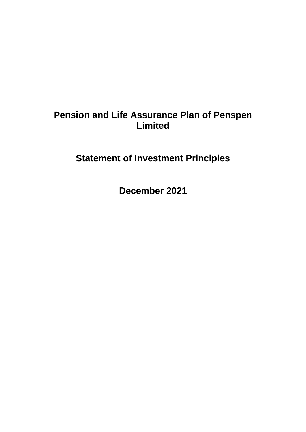# **Pension and Life Assurance Plan of Penspen Limited**

**Statement of Investment Principles**

**December 2021**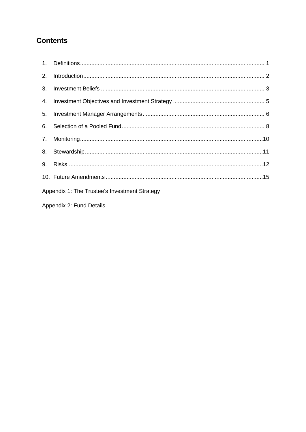# **Contents**

| Appendix 1: The Trustee's Investment Strategy |  |  |  |
|-----------------------------------------------|--|--|--|

Appendix 2: Fund Details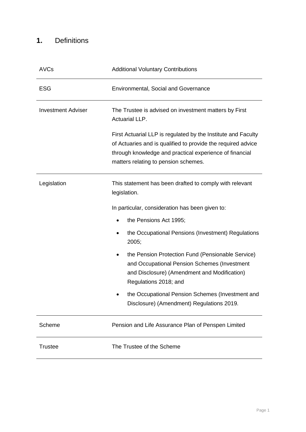# <span id="page-2-0"></span>**1.** Definitions

| <b>AVCs</b>               | <b>Additional Voluntary Contributions</b>                                                                                                                                                                                        |  |  |
|---------------------------|----------------------------------------------------------------------------------------------------------------------------------------------------------------------------------------------------------------------------------|--|--|
| <b>ESG</b>                | <b>Environmental, Social and Governance</b>                                                                                                                                                                                      |  |  |
| <b>Investment Adviser</b> | The Trustee is advised on investment matters by First<br><b>Actuarial LLP.</b>                                                                                                                                                   |  |  |
|                           | First Actuarial LLP is regulated by the Institute and Faculty<br>of Actuaries and is qualified to provide the required advice<br>through knowledge and practical experience of financial<br>matters relating to pension schemes. |  |  |
| Legislation               | This statement has been drafted to comply with relevant<br>legislation.                                                                                                                                                          |  |  |
|                           | In particular, consideration has been given to:                                                                                                                                                                                  |  |  |
|                           | the Pensions Act 1995;                                                                                                                                                                                                           |  |  |
|                           | the Occupational Pensions (Investment) Regulations<br>2005;                                                                                                                                                                      |  |  |
|                           | the Pension Protection Fund (Pensionable Service)<br>and Occupational Pension Schemes (Investment<br>and Disclosure) (Amendment and Modification)<br>Regulations 2018; and                                                       |  |  |
|                           | the Occupational Pension Schemes (Investment and<br>Disclosure) (Amendment) Regulations 2019.                                                                                                                                    |  |  |
| Scheme                    | Pension and Life Assurance Plan of Penspen Limited                                                                                                                                                                               |  |  |
| <b>Trustee</b>            | The Trustee of the Scheme                                                                                                                                                                                                        |  |  |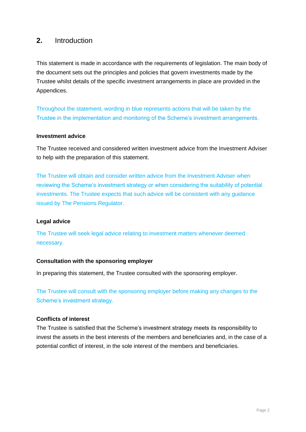### <span id="page-3-0"></span>**2.** Introduction

This statement is made in accordance with the requirements of legislation. The main body of the document sets out the principles and policies that govern investments made by the Trustee whilst details of the specific investment arrangements in place are provided in the Appendices.

Throughout the statement, wording in blue represents actions that will be taken by the Trustee in the implementation and monitoring of the Scheme's investment arrangements.

### **Investment advice**

The Trustee received and considered written investment advice from the Investment Adviser to help with the preparation of this statement.

The Trustee will obtain and consider written advice from the Investment Adviser when reviewing the Scheme's investment strategy or when considering the suitability of potential investments. The Trustee expects that such advice will be consistent with any guidance issued by The Pensions Regulator.

### **Legal advice**

The Trustee will seek legal advice relating to investment matters whenever deemed necessary.

### **Consultation with the sponsoring employer**

In preparing this statement, the Trustee consulted with the sponsoring employer.

The Trustee will consult with the sponsoring employer before making any changes to the Scheme's investment strategy.

### **Conflicts of interest**

The Trustee is satisfied that the Scheme's investment strategy meets its responsibility to invest the assets in the best interests of the members and beneficiaries and, in the case of a potential conflict of interest, in the sole interest of the members and beneficiaries.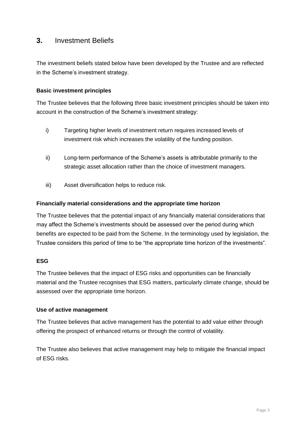### <span id="page-4-0"></span>**3.** Investment Beliefs

The investment beliefs stated below have been developed by the Trustee and are reflected in the Scheme's investment strategy.

### **Basic investment principles**

The Trustee believes that the following three basic investment principles should be taken into account in the construction of the Scheme's investment strategy:

- i) Targeting higher levels of investment return requires increased levels of investment risk which increases the volatility of the funding position.
- ii) Long-term performance of the Scheme's assets is attributable primarily to the strategic asset allocation rather than the choice of investment managers.
- iii) Asset diversification helps to reduce risk.

### **Financially material considerations and the appropriate time horizon**

The Trustee believes that the potential impact of any financially material considerations that may affect the Scheme's investments should be assessed over the period during which benefits are expected to be paid from the Scheme. In the terminology used by legislation, the Trustee considers this period of time to be "the appropriate time horizon of the investments".

### **ESG**

The Trustee believes that the impact of ESG risks and opportunities can be financially material and the Trustee recognises that ESG matters, particularly climate change, should be assessed over the appropriate time horizon.

### **Use of active management**

The Trustee believes that active management has the potential to add value either through offering the prospect of enhanced returns or through the control of volatility.

The Trustee also believes that active management may help to mitigate the financial impact of ESG risks.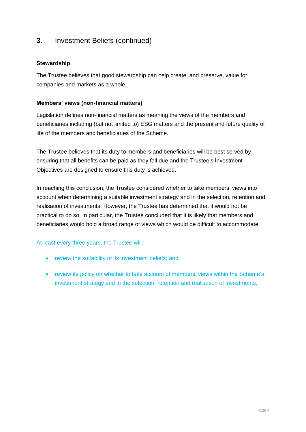## **3.** Investment Beliefs (continued)

### **Stewardship**

The Trustee believes that good stewardship can help create, and preserve, value for companies and markets as a whole.

### **Members' views (non-financial matters)**

Legislation defines non-financial matters as meaning the views of the members and beneficiaries including (but not limited to) ESG matters and the present and future quality of life of the members and beneficiaries of the Scheme.

The Trustee believes that its duty to members and beneficiaries will be best served by ensuring that all benefits can be paid as they fall due and the Trustee's Investment Objectives are designed to ensure this duty is achieved.

In reaching this conclusion, the Trustee considered whether to take members' views into account when determining a suitable investment strategy and in the selection, retention and realisation of investments. However, the Trustee has determined that it would not be practical to do so. In particular, the Trustee concluded that it is likely that members and beneficiaries would hold a broad range of views which would be difficult to accommodate.

At least every three years, the Trustee will:

- review the suitability of its investment beliefs; and
- review its policy on whether to take account of members' views within the Scheme's investment strategy and in the selection, retention and realisation of investments.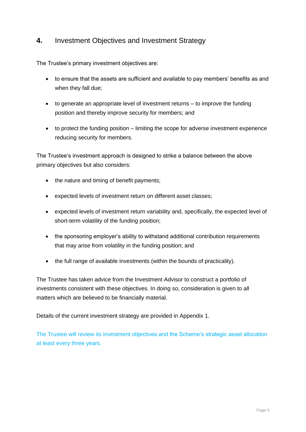# <span id="page-6-0"></span>**4.** Investment Objectives and Investment Strategy

The Trustee's primary investment objectives are:

- to ensure that the assets are sufficient and available to pay members' benefits as and when they fall due;
- to generate an appropriate level of investment returns to improve the funding position and thereby improve security for members; and
- to protect the funding position limiting the scope for adverse investment experience reducing security for members.

The Trustee's investment approach is designed to strike a balance between the above primary objectives but also considers:

- the nature and timing of benefit payments;
- expected levels of investment return on different asset classes;
- expected levels of investment return variability and, specifically, the expected level of short-term volatility of the funding position;
- the sponsoring employer's ability to withstand additional contribution requirements that may arise from volatility in the funding position; and
- the full range of available investments (within the bounds of practicality).

The Trustee has taken advice from the Investment Advisor to construct a portfolio of investments consistent with these objectives. In doing so, consideration is given to all matters which are believed to be financially material.

Details of the current investment strategy are provided in Appendix 1.

The Trustee will review its investment objectives and the Scheme's strategic asset allocation at least every three years.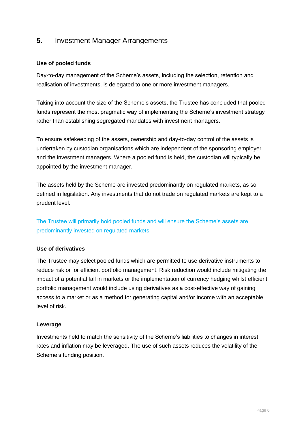## <span id="page-7-0"></span>**5.** Investment Manager Arrangements

### **Use of pooled funds**

Day-to-day management of the Scheme's assets, including the selection, retention and realisation of investments, is delegated to one or more investment managers.

Taking into account the size of the Scheme's assets, the Trustee has concluded that pooled funds represent the most pragmatic way of implementing the Scheme's investment strategy rather than establishing segregated mandates with investment managers.

To ensure safekeeping of the assets, ownership and day-to-day control of the assets is undertaken by custodian organisations which are independent of the sponsoring employer and the investment managers. Where a pooled fund is held, the custodian will typically be appointed by the investment manager.

The assets held by the Scheme are invested predominantly on regulated markets, as so defined in legislation. Any investments that do not trade on regulated markets are kept to a prudent level.

The Trustee will primarily hold pooled funds and will ensure the Scheme's assets are predominantly invested on regulated markets.

### **Use of derivatives**

The Trustee may select pooled funds which are permitted to use derivative instruments to reduce risk or for efficient portfolio management. Risk reduction would include mitigating the impact of a potential fall in markets or the implementation of currency hedging whilst efficient portfolio management would include using derivatives as a cost-effective way of gaining access to a market or as a method for generating capital and/or income with an acceptable level of risk.

### **Leverage**

Investments held to match the sensitivity of the Scheme's liabilities to changes in interest rates and inflation may be leveraged. The use of such assets reduces the volatility of the Scheme's funding position.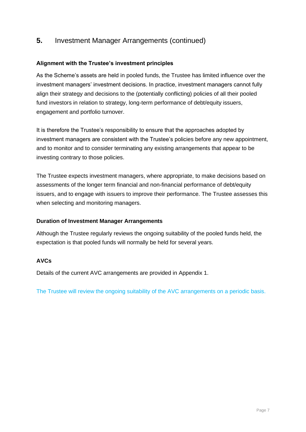## **5.** Investment Manager Arrangements (continued)

### **Alignment with the Trustee's investment principles**

As the Scheme's assets are held in pooled funds, the Trustee has limited influence over the investment managers' investment decisions. In practice, investment managers cannot fully align their strategy and decisions to the (potentially conflicting) policies of all their pooled fund investors in relation to strategy, long-term performance of debt/equity issuers, engagement and portfolio turnover.

It is therefore the Trustee's responsibility to ensure that the approaches adopted by investment managers are consistent with the Trustee's policies before any new appointment, and to monitor and to consider terminating any existing arrangements that appear to be investing contrary to those policies.

The Trustee expects investment managers, where appropriate, to make decisions based on assessments of the longer term financial and non-financial performance of debt/equity issuers, and to engage with issuers to improve their performance. The Trustee assesses this when selecting and monitoring managers.

### **Duration of Investment Manager Arrangements**

Although the Trustee regularly reviews the ongoing suitability of the pooled funds held, the expectation is that pooled funds will normally be held for several years.

### **AVCs**

Details of the current AVC arrangements are provided in Appendix 1.

The Trustee will review the ongoing suitability of the AVC arrangements on a periodic basis.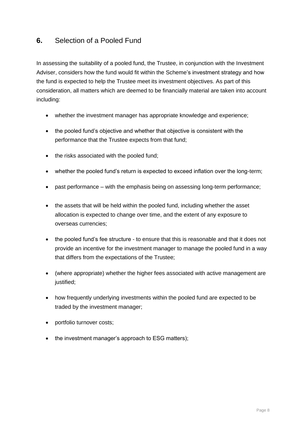# <span id="page-9-0"></span>**6.** Selection of a Pooled Fund

In assessing the suitability of a pooled fund, the Trustee, in conjunction with the Investment Adviser, considers how the fund would fit within the Scheme's investment strategy and how the fund is expected to help the Trustee meet its investment objectives. As part of this consideration, all matters which are deemed to be financially material are taken into account including:

- whether the investment manager has appropriate knowledge and experience;
- the pooled fund's objective and whether that objective is consistent with the performance that the Trustee expects from that fund;
- the risks associated with the pooled fund;
- whether the pooled fund's return is expected to exceed inflation over the long-term;
- past performance with the emphasis being on assessing long-term performance;
- the assets that will be held within the pooled fund, including whether the asset allocation is expected to change over time, and the extent of any exposure to overseas currencies;
- the pooled fund's fee structure to ensure that this is reasonable and that it does not provide an incentive for the investment manager to manage the pooled fund in a way that differs from the expectations of the Trustee;
- (where appropriate) whether the higher fees associated with active management are justified;
- how frequently underlying investments within the pooled fund are expected to be traded by the investment manager;
- portfolio turnover costs;
- the investment manager's approach to ESG matters);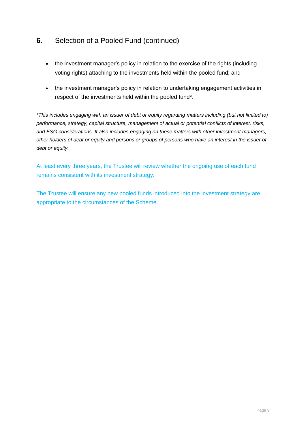# **6.** Selection of a Pooled Fund (continued)

- the investment manager's policy in relation to the exercise of the rights (including voting rights) attaching to the investments held within the pooled fund; and
- the investment manager's policy in relation to undertaking engagement activities in respect of the investments held within the pooled fund\*.

*\*This includes engaging with an issuer of debt or equity regarding matters including (but not limited to) performance, strategy, capital structure, management of actual or potential conflicts of interest, risks, and ESG considerations. It also includes engaging on these matters with other investment managers, other holders of debt or equity and persons or groups of persons who have an interest in the issuer of debt or equity.*

At least every three years, the Trustee will review whether the ongoing use of each fund remains consistent with its investment strategy.

The Trustee will ensure any new pooled funds introduced into the investment strategy are appropriate to the circumstances of the Scheme.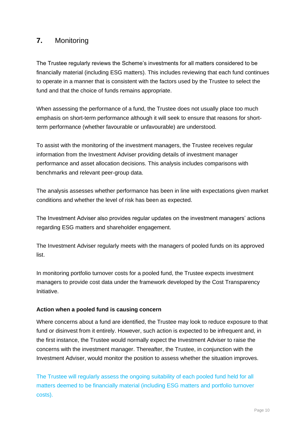# <span id="page-11-0"></span>**7.** Monitoring

The Trustee regularly reviews the Scheme's investments for all matters considered to be financially material (including ESG matters). This includes reviewing that each fund continues to operate in a manner that is consistent with the factors used by the Trustee to select the fund and that the choice of funds remains appropriate.

When assessing the performance of a fund, the Trustee does not usually place too much emphasis on short-term performance although it will seek to ensure that reasons for shortterm performance (whether favourable or unfavourable) are understood.

To assist with the monitoring of the investment managers, the Trustee receives regular information from the Investment Adviser providing details of investment manager performance and asset allocation decisions. This analysis includes comparisons with benchmarks and relevant peer-group data.

The analysis assesses whether performance has been in line with expectations given market conditions and whether the level of risk has been as expected.

The Investment Adviser also provides regular updates on the investment managers' actions regarding ESG matters and shareholder engagement.

The Investment Adviser regularly meets with the managers of pooled funds on its approved list.

In monitoring portfolio turnover costs for a pooled fund, the Trustee expects investment managers to provide cost data under the framework developed by the Cost Transparency Initiative.

### **Action when a pooled fund is causing concern**

Where concerns about a fund are identified, the Trustee may look to reduce exposure to that fund or disinvest from it entirely. However, such action is expected to be infrequent and, in the first instance, the Trustee would normally expect the Investment Adviser to raise the concerns with the investment manager. Thereafter, the Trustee, in conjunction with the Investment Adviser, would monitor the position to assess whether the situation improves.

The Trustee will regularly assess the ongoing suitability of each pooled fund held for all matters deemed to be financially material (including ESG matters and portfolio turnover costs).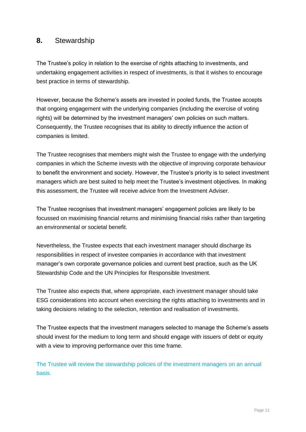### <span id="page-12-0"></span>**8.** Stewardship

The Trustee's policy in relation to the exercise of rights attaching to investments, and undertaking engagement activities in respect of investments, is that it wishes to encourage best practice in terms of stewardship.

However, because the Scheme's assets are invested in pooled funds, the Trustee accepts that ongoing engagement with the underlying companies (including the exercise of voting rights) will be determined by the investment managers' own policies on such matters. Consequently, the Trustee recognises that its ability to directly influence the action of companies is limited.

The Trustee recognises that members might wish the Trustee to engage with the underlying companies in which the Scheme invests with the objective of improving corporate behaviour to benefit the environment and society. However, the Trustee's priority is to select investment managers which are best suited to help meet the Trustee's investment objectives. In making this assessment, the Trustee will receive advice from the Investment Adviser.

The Trustee recognises that investment managers' engagement policies are likely to be focussed on maximising financial returns and minimising financial risks rather than targeting an environmental or societal benefit.

Nevertheless, the Trustee expects that each investment manager should discharge its responsibilities in respect of investee companies in accordance with that investment manager's own corporate governance policies and current best practice, such as the UK Stewardship Code and the UN Principles for Responsible Investment.

The Trustee also expects that, where appropriate, each investment manager should take ESG considerations into account when exercising the rights attaching to investments and in taking decisions relating to the selection, retention and realisation of investments.

The Trustee expects that the investment managers selected to manage the Scheme's assets should invest for the medium to long term and should engage with issuers of debt or equity with a view to improving performance over this time frame.

The Trustee will review the stewardship policies of the investment managers on an annual basis.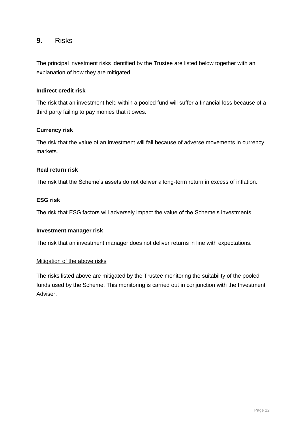### <span id="page-13-0"></span>**9.** Risks

The principal investment risks identified by the Trustee are listed below together with an explanation of how they are mitigated.

### **Indirect credit risk**

The risk that an investment held within a pooled fund will suffer a financial loss because of a third party failing to pay monies that it owes.

### **Currency risk**

The risk that the value of an investment will fall because of adverse movements in currency markets.

### **Real return risk**

The risk that the Scheme's assets do not deliver a long-term return in excess of inflation.

### **ESG risk**

The risk that ESG factors will adversely impact the value of the Scheme's investments.

### **Investment manager risk**

The risk that an investment manager does not deliver returns in line with expectations.

### Mitigation of the above risks

The risks listed above are mitigated by the Trustee monitoring the suitability of the pooled funds used by the Scheme. This monitoring is carried out in conjunction with the Investment Adviser.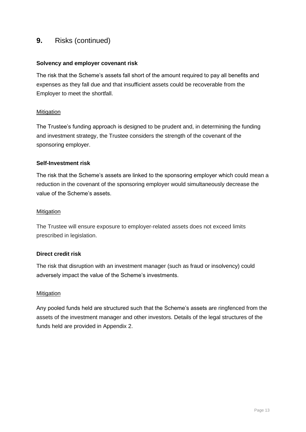### **9.** Risks (continued)

### **Solvency and employer covenant risk**

The risk that the Scheme's assets fall short of the amount required to pay all benefits and expenses as they fall due and that insufficient assets could be recoverable from the Employer to meet the shortfall.

### **Mitigation**

The Trustee's funding approach is designed to be prudent and, in determining the funding and investment strategy, the Trustee considers the strength of the covenant of the sponsoring employer.

### **Self-Investment risk**

The risk that the Scheme's assets are linked to the sponsoring employer which could mean a reduction in the covenant of the sponsoring employer would simultaneously decrease the value of the Scheme's assets.

### Mitigation

The Trustee will ensure exposure to employer-related assets does not exceed limits prescribed in legislation.

### **Direct credit risk**

The risk that disruption with an investment manager (such as fraud or insolvency) could adversely impact the value of the Scheme's investments.

### **Mitigation**

Any pooled funds held are structured such that the Scheme's assets are ringfenced from the assets of the investment manager and other investors. Details of the legal structures of the funds held are provided in Appendix 2.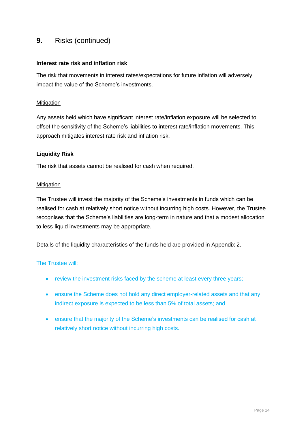### **9.** Risks (continued)

### **Interest rate risk and inflation risk**

The risk that movements in interest rates/expectations for future inflation will adversely impact the value of the Scheme's investments.

### **Mitigation**

Any assets held which have significant interest rate/inflation exposure will be selected to offset the sensitivity of the Scheme's liabilities to interest rate/inflation movements. This approach mitigates interest rate risk and inflation risk.

### **Liquidity Risk**

The risk that assets cannot be realised for cash when required.

### Mitigation

The Trustee will invest the majority of the Scheme's investments in funds which can be realised for cash at relatively short notice without incurring high costs. However, the Trustee recognises that the Scheme's liabilities are long-term in nature and that a modest allocation to less-liquid investments may be appropriate.

Details of the liquidity characteristics of the funds held are provided in Appendix 2.

### The Trustee will:

- review the investment risks faced by the scheme at least every three years;
- ensure the Scheme does not hold any direct employer-related assets and that any indirect exposure is expected to be less than 5% of total assets; and
- ensure that the majority of the Scheme's investments can be realised for cash at relatively short notice without incurring high costs.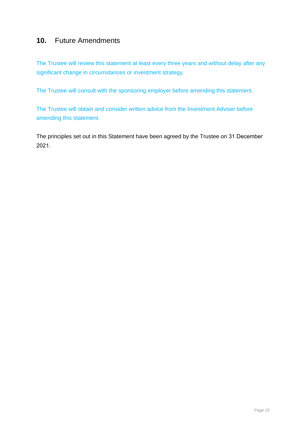# <span id="page-16-0"></span>**10.** Future Amendments

The Trustee will review this statement at least every three years and without delay after any significant change in circumstances or investment strategy.

The Trustee will consult with the sponsoring employer before amending this statement.

The Trustee will obtain and consider written advice from the Investment Adviser before amending this statement.

The principles set out in this Statement have been agreed by the Trustee on 31 December 2021.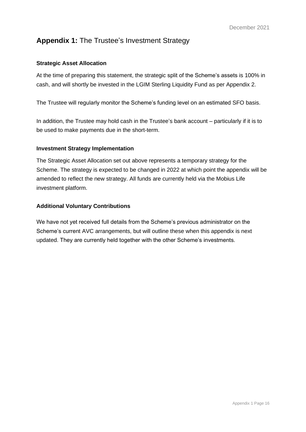# **Appendix 1:** The Trustee's Investment Strategy

### **Strategic Asset Allocation**

At the time of preparing this statement, the strategic split of the Scheme's assets is 100% in cash, and will shortly be invested in the LGIM Sterling Liquidity Fund as per Appendix 2.

The Trustee will regularly monitor the Scheme's funding level on an estimated SFO basis.

In addition, the Trustee may hold cash in the Trustee's bank account – particularly if it is to be used to make payments due in the short-term.

### **Investment Strategy Implementation**

The Strategic Asset Allocation set out above represents a temporary strategy for the Scheme. The strategy is expected to be changed in 2022 at which point the appendix will be amended to reflect the new strategy. All funds are currently held via the Mobius Life investment platform.

### **Additional Voluntary Contributions**

We have not yet received full details from the Scheme's previous administrator on the Scheme's current AVC arrangements, but will outline these when this appendix is next updated. They are currently held together with the other Scheme's investments.